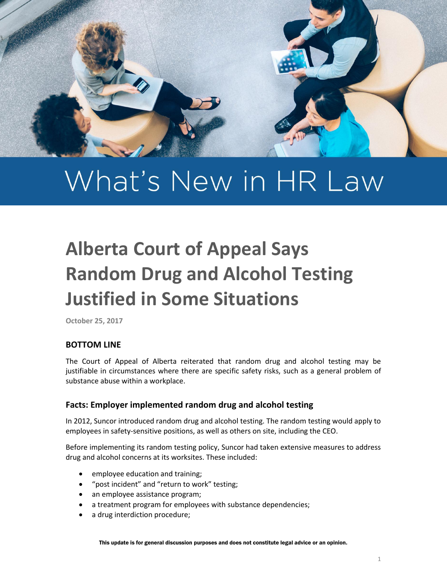

# What's New in HR Law

# **Alberta Court of Appeal Says Random Drug and Alcohol Testing Justified in Some Situations**

**October 25, 2017**

### **BOTTOM LINE**

The Court of Appeal of Alberta reiterated that random drug and alcohol testing may be justifiable in circumstances where there are specific safety risks, such as a general problem of substance abuse within a workplace.

#### **Facts: Employer implemented random drug and alcohol testing**

In 2012, Suncor introduced random drug and alcohol testing. The random testing would apply to employees in safety-sensitive positions, as well as others on site, including the CEO.

Before implementing its random testing policy, Suncor had taken extensive measures to address drug and alcohol concerns at its worksites. These included:

- employee education and training;
- "post incident" and "return to work" testing;
- an employee assistance program;
- a treatment program for employees with substance dependencies;
- a drug interdiction procedure;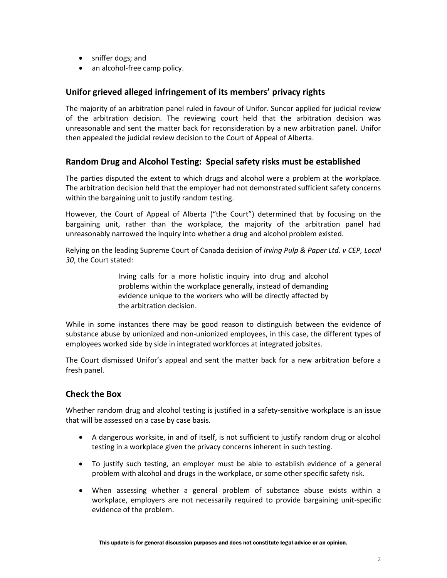- sniffer dogs; and
- an alcohol-free camp policy.

#### **Unifor grieved alleged infringement of its members' privacy rights**

The majority of an arbitration panel ruled in favour of Unifor. Suncor applied for judicial review of the arbitration decision. The reviewing court held that the arbitration decision was unreasonable and sent the matter back for reconsideration by a new arbitration panel. Unifor then appealed the judicial review decision to the Court of Appeal of Alberta.

#### **Random Drug and Alcohol Testing: Special safety risks must be established**

The parties disputed the extent to which drugs and alcohol were a problem at the workplace. The arbitration decision held that the employer had not demonstrated sufficient safety concerns within the bargaining unit to justify random testing.

However, the Court of Appeal of Alberta ("the Court") determined that by focusing on the bargaining unit, rather than the workplace, the majority of the arbitration panel had unreasonably narrowed the inquiry into whether a drug and alcohol problem existed.

Relying on the leading Supreme Court of Canada decision of *Irving Pulp & Paper Ltd. v CEP, Local 30*, the Court stated:

> Irving calls for a more holistic inquiry into drug and alcohol problems within the workplace generally, instead of demanding evidence unique to the workers who will be directly affected by the arbitration decision.

While in some instances there may be good reason to distinguish between the evidence of substance abuse by unionized and non-unionized employees, in this case, the different types of employees worked side by side in integrated workforces at integrated jobsites.

The Court dismissed Unifor's appeal and sent the matter back for a new arbitration before a fresh panel.

### **Check the Box**

Whether random drug and alcohol testing is justified in a safety-sensitive workplace is an issue that will be assessed on a case by case basis.

- A dangerous worksite, in and of itself, is not sufficient to justify random drug or alcohol testing in a workplace given the privacy concerns inherent in such testing.
- To justify such testing, an employer must be able to establish evidence of a general problem with alcohol and drugs in the workplace, or some other specific safety risk.
- When assessing whether a general problem of substance abuse exists within a workplace, employers are not necessarily required to provide bargaining unit-specific evidence of the problem.